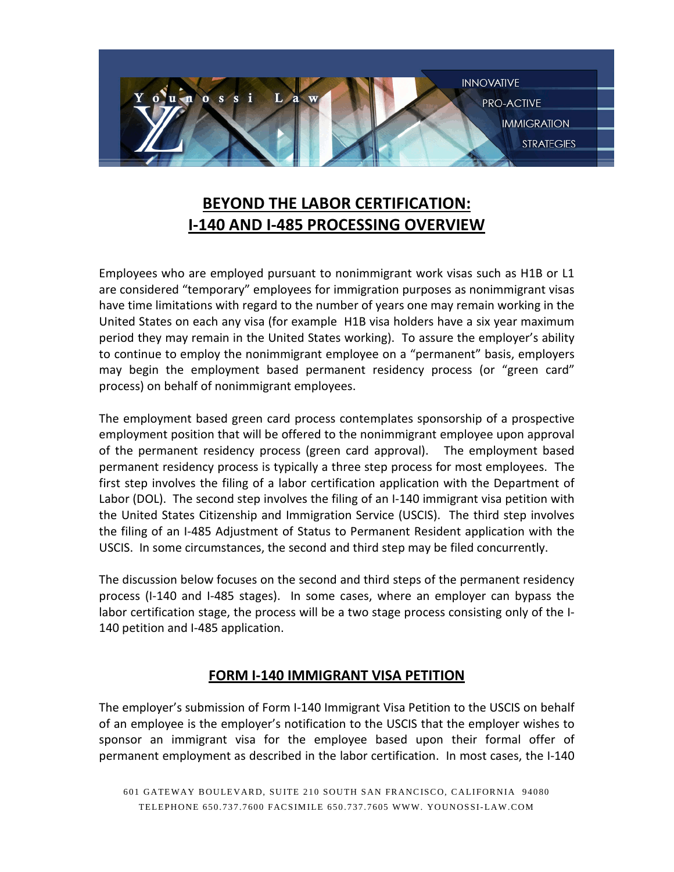

# **BEYOND THE LABOR CERTIFICATION: I-140 AND I-485 PROCESSING OVERVIEW**

Employees who are employed pursuant to nonimmigrant work visas such as H1B or L1 are considered "temporary" employees for immigration purposes as nonimmigrant visas have time limitations with regard to the number of years one may remain working in the United States on each any visa (for example H1B visa holders have a six year maximum period they may remain in the United States working). To assure the employer's ability to continue to employ the nonimmigrant employee on a "permanent" basis, employers may begin the employment based permanent residency process (or "green card" process) on behalf of nonimmigrant employees.

The employment based green card process contemplates sponsorship of a prospective employment position that will be offered to the nonimmigrant employee upon approval of the permanent residency process (green card approval). The employment based permanent residency process is typically a three step process for most employees. The first step involves the filing of a labor certification application with the Department of Labor (DOL). The second step involves the filing of an I-140 immigrant visa petition with the United States Citizenship and Immigration Service (USCIS). The third step involves the filing of an I-485 Adjustment of Status to Permanent Resident application with the USCIS. In some circumstances, the second and third step may be filed concurrently.

The discussion below focuses on the second and third steps of the permanent residency process (I-140 and I-485 stages). In some cases, where an employer can bypass the labor certification stage, the process will be a two stage process consisting only of the I-140 petition and I-485 application.

# **FORM I-140 IMMIGRANT VISA PETITION**

The employer's submission of Form I-140 Immigrant Visa Petition to the USCIS on behalf of an employee is the employer's notification to the USCIS that the employer wishes to sponsor an immigrant visa for the employee based upon their formal offer of permanent employment as described in the labor certification. In most cases, the I-140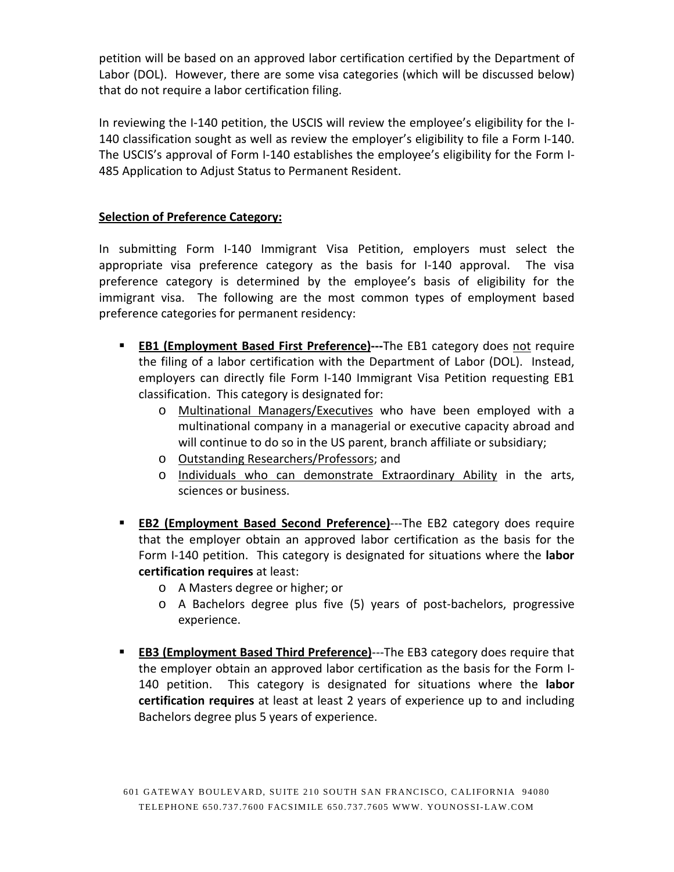petition will be based on an approved labor certification certified by the Department of Labor (DOL). However, there are some visa categories (which will be discussed below) that do not require a labor certification filing.

In reviewing the I-140 petition, the USCIS will review the employee's eligibility for the I-140 classification sought as well as review the employer's eligibility to file a Form I-140. The USCIS's approval of Form I-140 establishes the employee's eligibility for the Form I-485 Application to Adjust Status to Permanent Resident.

## **Selection of Preference Category:**

In submitting Form I-140 Immigrant Visa Petition, employers must select the appropriate visa preference category as the basis for I-140 approval. The visa preference category is determined by the employee's basis of eligibility for the immigrant visa. The following are the most common types of employment based preference categories for permanent residency:

- **EB1 (Employment Based First Preference)---**The EB1 category does not require the filing of a labor certification with the Department of Labor (DOL). Instead, employers can directly file Form I-140 Immigrant Visa Petition requesting EB1 classification. This category is designated for:
	- o Multinational Managers/Executives who have been employed with a multinational company in a managerial or executive capacity abroad and will continue to do so in the US parent, branch affiliate or subsidiary;
	- o Outstanding Researchers/Professors; and
	- o Individuals who can demonstrate Extraordinary Ability in the arts, sciences or business.
- **EB2 (Employment Based Second Preference)**---The EB2 category does require that the employer obtain an approved labor certification as the basis for the Form I-140 petition. This category is designated for situations where the **labor certification requires** at least:
	- o A Masters degree or higher; or
	- o A Bachelors degree plus five (5) years of post-bachelors, progressive experience.
- **EB3 (Employment Based Third Preference)---The EB3 category does require that** the employer obtain an approved labor certification as the basis for the Form I-140 petition. This category is designated for situations where the **labor certification requires** at least at least 2 years of experience up to and including Bachelors degree plus 5 years of experience.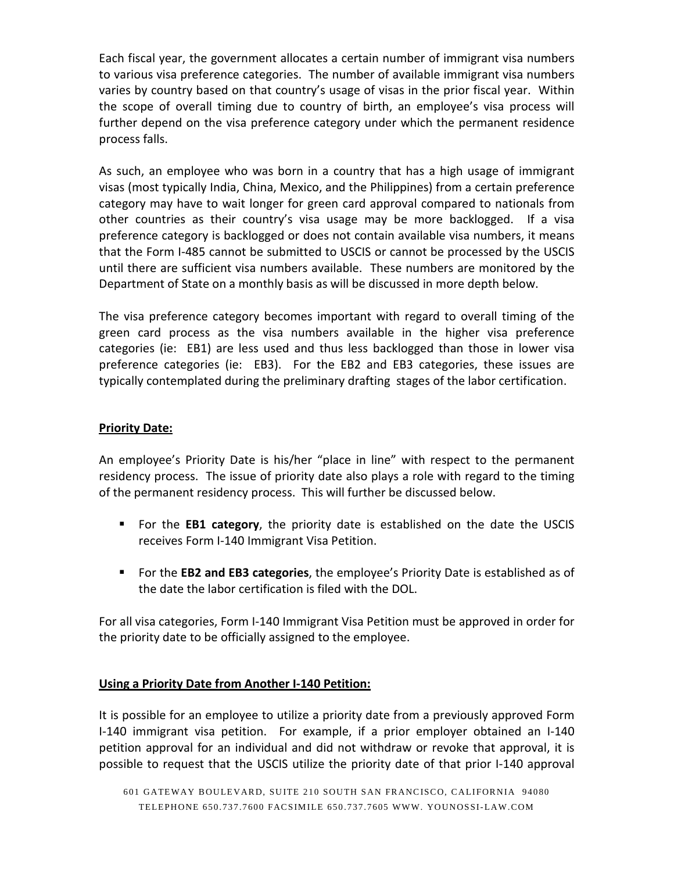Each fiscal year, the government allocates a certain number of immigrant visa numbers to various visa preference categories. The number of available immigrant visa numbers varies by country based on that country's usage of visas in the prior fiscal year. Within the scope of overall timing due to country of birth, an employee's visa process will further depend on the visa preference category under which the permanent residence process falls.

As such, an employee who was born in a country that has a high usage of immigrant visas (most typically India, China, Mexico, and the Philippines) from a certain preference category may have to wait longer for green card approval compared to nationals from other countries as their country's visa usage may be more backlogged. If a visa preference category is backlogged or does not contain available visa numbers, it means that the Form I-485 cannot be submitted to USCIS or cannot be processed by the USCIS until there are sufficient visa numbers available. These numbers are monitored by the Department of State on a monthly basis as will be discussed in more depth below.

The visa preference category becomes important with regard to overall timing of the green card process as the visa numbers available in the higher visa preference categories (ie: EB1) are less used and thus less backlogged than those in lower visa preference categories (ie: EB3). For the EB2 and EB3 categories, these issues are typically contemplated during the preliminary drafting stages of the labor certification.

#### **Priority Date:**

An employee's Priority Date is his/her "place in line" with respect to the permanent residency process. The issue of priority date also plays a role with regard to the timing of the permanent residency process. This will further be discussed below.

- For the **EB1 category**, the priority date is established on the date the USCIS receives Form I-140 Immigrant Visa Petition.
- For the **EB2 and EB3 categories**, the employee's Priority Date is established as of the date the labor certification is filed with the DOL.

For all visa categories, Form I-140 Immigrant Visa Petition must be approved in order for the priority date to be officially assigned to the employee.

# **Using a Priority Date from Another I-140 Petition:**

It is possible for an employee to utilize a priority date from a previously approved Form I-140 immigrant visa petition. For example, if a prior employer obtained an I-140 petition approval for an individual and did not withdraw or revoke that approval, it is possible to request that the USCIS utilize the priority date of that prior I-140 approval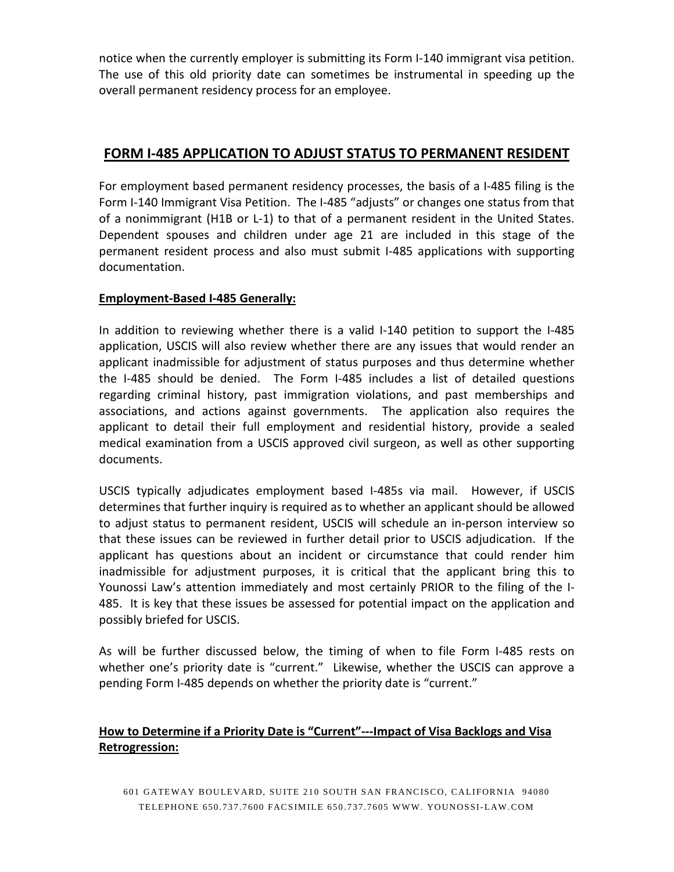notice when the currently employer is submitting its Form I-140 immigrant visa petition. The use of this old priority date can sometimes be instrumental in speeding up the overall permanent residency process for an employee.

# **FORM I-485 APPLICATION TO ADJUST STATUS TO PERMANENT RESIDENT**

For employment based permanent residency processes, the basis of a I-485 filing is the Form I-140 Immigrant Visa Petition. The I-485 "adjusts" or changes one status from that of a nonimmigrant (H1B or L-1) to that of a permanent resident in the United States. Dependent spouses and children under age 21 are included in this stage of the permanent resident process and also must submit I-485 applications with supporting documentation.

### **Employment-Based I-485 Generally:**

In addition to reviewing whether there is a valid I-140 petition to support the I-485 application, USCIS will also review whether there are any issues that would render an applicant inadmissible for adjustment of status purposes and thus determine whether the I-485 should be denied. The Form I-485 includes a list of detailed questions regarding criminal history, past immigration violations, and past memberships and associations, and actions against governments. The application also requires the applicant to detail their full employment and residential history, provide a sealed medical examination from a USCIS approved civil surgeon, as well as other supporting documents.

USCIS typically adjudicates employment based I-485s via mail. However, if USCIS determines that further inquiry is required as to whether an applicant should be allowed to adjust status to permanent resident, USCIS will schedule an in-person interview so that these issues can be reviewed in further detail prior to USCIS adjudication. If the applicant has questions about an incident or circumstance that could render him inadmissible for adjustment purposes, it is critical that the applicant bring this to Younossi Law's attention immediately and most certainly PRIOR to the filing of the I-485. It is key that these issues be assessed for potential impact on the application and possibly briefed for USCIS.

As will be further discussed below, the timing of when to file Form I-485 rests on whether one's priority date is "current." Likewise, whether the USCIS can approve a pending Form I-485 depends on whether the priority date is "current."

# **How to Determine if a Priority Date is "Current"---Impact of Visa Backlogs and Visa Retrogression:**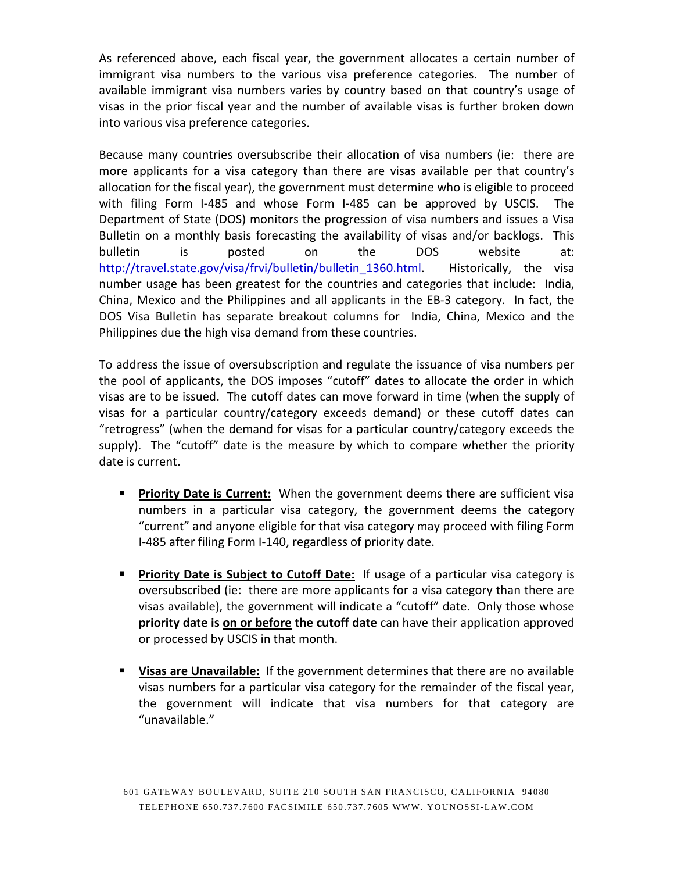As referenced above, each fiscal year, the government allocates a certain number of immigrant visa numbers to the various visa preference categories. The number of available immigrant visa numbers varies by country based on that country's usage of visas in the prior fiscal year and the number of available visas is further broken down into various visa preference categories.

Because many countries oversubscribe their allocation of visa numbers (ie: there are more applicants for a visa category than there are visas available per that country's allocation for the fiscal year), the government must determine who is eligible to proceed with filing Form I-485 and whose Form I-485 can be approved by USCIS. The Department of State (DOS) monitors the progression of visa numbers and issues a Visa Bulletin on a monthly basis forecasting the availability of visas and/or backlogs. This bulletin is posted on the DOS website at: [http://travel.state.gov/visa/frvi/bulletin/bulletin\\_1360.html.](http://travel.state.gov/visa/frvi/bulletin/bulletin_1360.html) Historically, the visa number usage has been greatest for the countries and categories that include: India, China, Mexico and the Philippines and all applicants in the EB-3 category. In fact, the DOS Visa Bulletin has separate breakout columns for India, China, Mexico and the Philippines due the high visa demand from these countries.

To address the issue of oversubscription and regulate the issuance of visa numbers per the pool of applicants, the DOS imposes "cutoff" dates to allocate the order in which visas are to be issued. The cutoff dates can move forward in time (when the supply of visas for a particular country/category exceeds demand) or these cutoff dates can "retrogress" (when the demand for visas for a particular country/category exceeds the supply). The "cutoff" date is the measure by which to compare whether the priority date is current.

- **Priority Date is Current:** When the government deems there are sufficient visa numbers in a particular visa category, the government deems the category "current" and anyone eligible for that visa category may proceed with filing Form I-485 after filing Form I-140, regardless of priority date.
- **Priority Date is Subject to Cutoff Date:** If usage of a particular visa category is oversubscribed (ie: there are more applicants for a visa category than there are visas available), the government will indicate a "cutoff" date. Only those whose **priority date is on or before the cutoff date** can have their application approved or processed by USCIS in that month.
- **Visas are Unavailable:** If the government determines that there are no available visas numbers for a particular visa category for the remainder of the fiscal year, the government will indicate that visa numbers for that category are "unavailable."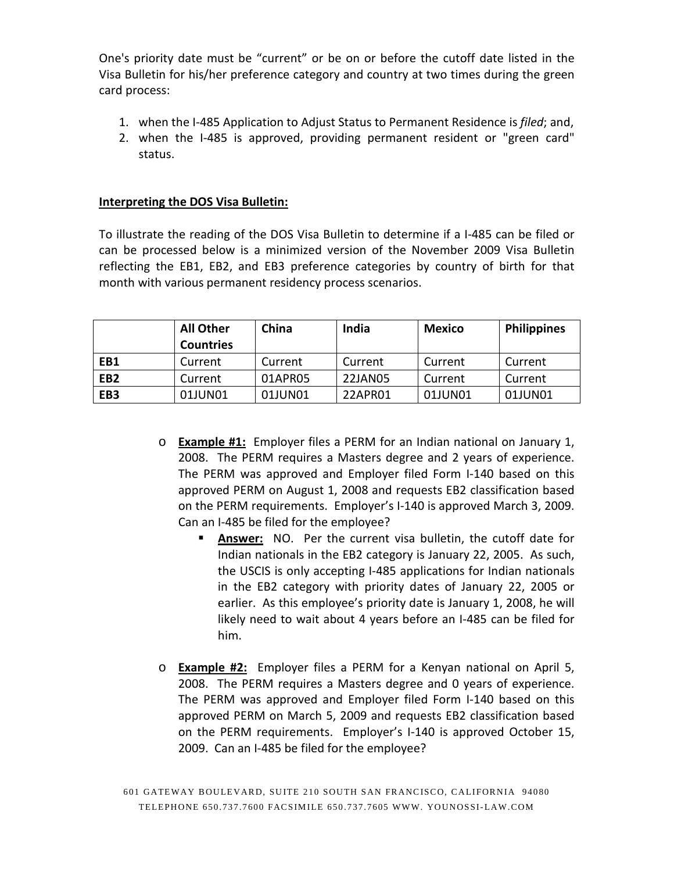One's priority date must be "current" or be on or before the cutoff date listed in the Visa Bulletin for his/her preference category and country at two times during the green card process:

- 1. when the I-485 Application to Adjust Status to Permanent Residence is *filed*; and,
- 2. when the I-485 is approved, providing permanent resident or "green card" status.

#### **Interpreting the DOS Visa Bulletin:**

To illustrate the reading of the DOS Visa Bulletin to determine if a I-485 can be filed or can be processed below is a minimized version of the November 2009 Visa Bulletin reflecting the EB1, EB2, and EB3 preference categories by country of birth for that month with various permanent residency process scenarios.

|                 | <b>All Other</b> | China   | India   | <b>Mexico</b> | <b>Philippines</b> |
|-----------------|------------------|---------|---------|---------------|--------------------|
|                 | <b>Countries</b> |         |         |               |                    |
| EB1             | Current          | Current | Current | Current       | Current            |
| EB <sub>2</sub> | Current          | 01APR05 | 22JAN05 | Current       | Current            |
| EB <sub>3</sub> | 01JUN01          | 01JUN01 | 22APR01 | 01JUN01       | 01JUN01            |

- o **Example #1:** Employer files a PERM for an Indian national on January 1, 2008. The PERM requires a Masters degree and 2 years of experience. The PERM was approved and Employer filed Form I-140 based on this approved PERM on August 1, 2008 and requests EB2 classification based on the PERM requirements. Employer's I-140 is approved March 3, 2009. Can an I-485 be filed for the employee?
	- **Answer:** NO. Per the current visa bulletin, the cutoff date for Indian nationals in the EB2 category is January 22, 2005. As such, the USCIS is only accepting I-485 applications for Indian nationals in the EB2 category with priority dates of January 22, 2005 or earlier. As this employee's priority date is January 1, 2008, he will likely need to wait about 4 years before an I-485 can be filed for him.
- o **Example #2:** Employer files a PERM for a Kenyan national on April 5, 2008. The PERM requires a Masters degree and 0 years of experience. The PERM was approved and Employer filed Form I-140 based on this approved PERM on March 5, 2009 and requests EB2 classification based on the PERM requirements. Employer's I-140 is approved October 15, 2009. Can an I-485 be filed for the employee?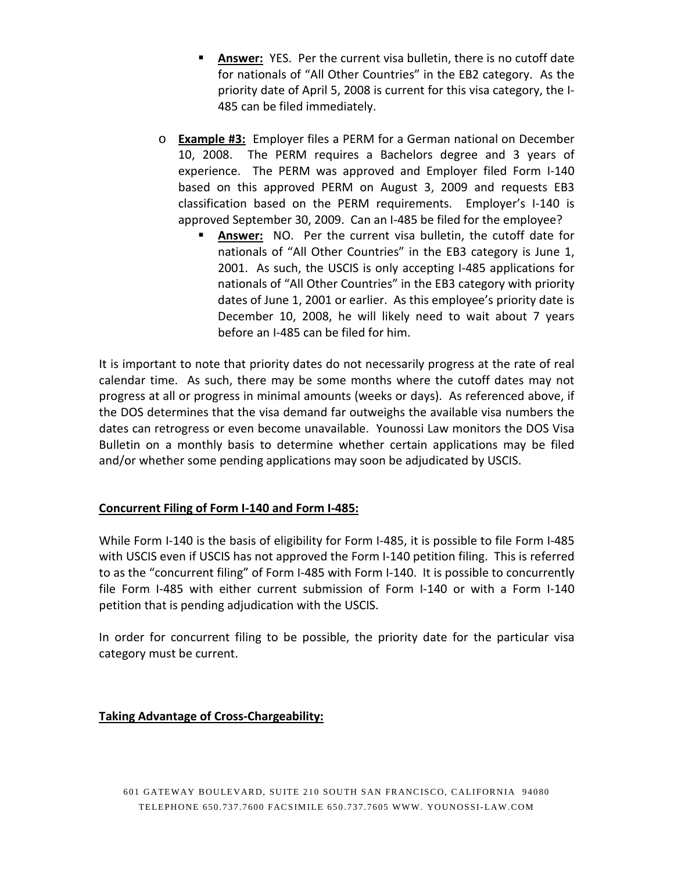- **Answer:** YES. Per the current visa bulletin, there is no cutoff date for nationals of "All Other Countries" in the EB2 category. As the priority date of April 5, 2008 is current for this visa category, the I-485 can be filed immediately.
- o **Example #3:** Employer files a PERM for a German national on December 10, 2008. The PERM requires a Bachelors degree and 3 years of experience. The PERM was approved and Employer filed Form I-140 based on this approved PERM on August 3, 2009 and requests EB3 classification based on the PERM requirements. Employer's I-140 is approved September 30, 2009. Can an I-485 be filed for the employee?
	- **Answer:** NO. Per the current visa bulletin, the cutoff date for nationals of "All Other Countries" in the EB3 category is June 1, 2001. As such, the USCIS is only accepting I-485 applications for nationals of "All Other Countries" in the EB3 category with priority dates of June 1, 2001 or earlier. As this employee's priority date is December 10, 2008, he will likely need to wait about 7 years before an I-485 can be filed for him.

It is important to note that priority dates do not necessarily progress at the rate of real calendar time. As such, there may be some months where the cutoff dates may not progress at all or progress in minimal amounts (weeks or days). As referenced above, if the DOS determines that the visa demand far outweighs the available visa numbers the dates can retrogress or even become unavailable. Younossi Law monitors the DOS Visa Bulletin on a monthly basis to determine whether certain applications may be filed and/or whether some pending applications may soon be adjudicated by USCIS.

# **Concurrent Filing of Form I-140 and Form I-485:**

While Form I-140 is the basis of eligibility for Form I-485, it is possible to file Form I-485 with USCIS even if USCIS has not approved the Form I-140 petition filing. This is referred to as the "concurrent filing" of Form I-485 with Form I-140. It is possible to concurrently file Form I-485 with either current submission of Form I-140 or with a Form I-140 petition that is pending adjudication with the USCIS.

In order for concurrent filing to be possible, the priority date for the particular visa category must be current.

# **Taking Advantage of Cross-Chargeability:**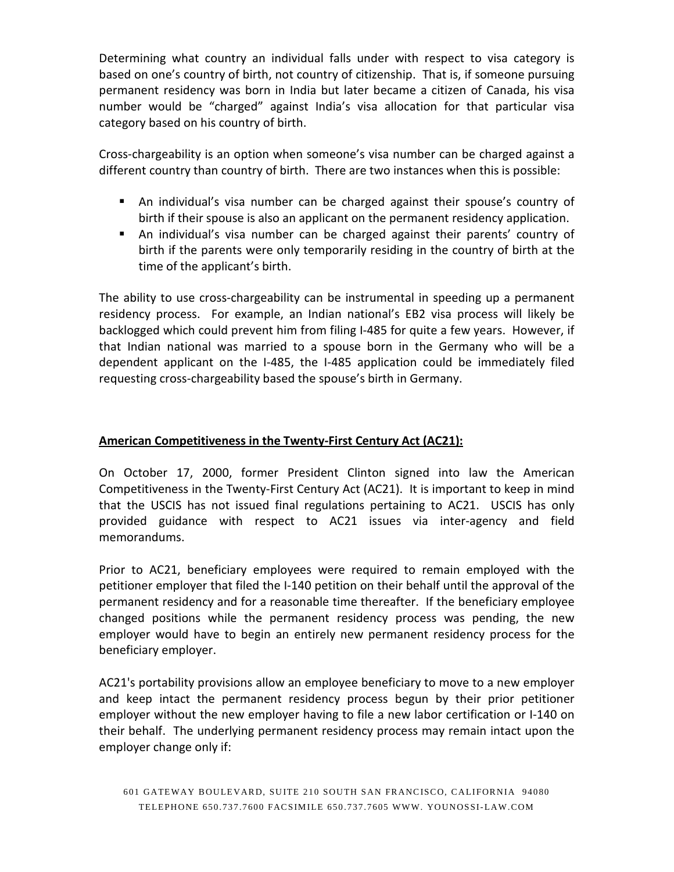Determining what country an individual falls under with respect to visa category is based on one's country of birth, not country of citizenship. That is, if someone pursuing permanent residency was born in India but later became a citizen of Canada, his visa number would be "charged" against India's visa allocation for that particular visa category based on his country of birth.

Cross-chargeability is an option when someone's visa number can be charged against a different country than country of birth. There are two instances when this is possible:

- An individual's visa number can be charged against their spouse's country of birth if their spouse is also an applicant on the permanent residency application.
- An individual's visa number can be charged against their parents' country of birth if the parents were only temporarily residing in the country of birth at the time of the applicant's birth.

The ability to use cross-chargeability can be instrumental in speeding up a permanent residency process. For example, an Indian national's EB2 visa process will likely be backlogged which could prevent him from filing I-485 for quite a few years. However, if that Indian national was married to a spouse born in the Germany who will be a dependent applicant on the I-485, the I-485 application could be immediately filed requesting cross-chargeability based the spouse's birth in Germany.

# **American Competitiveness in the Twenty-First Century Act (AC21):**

On October 17, 2000, former President Clinton signed into law the American Competitiveness in the Twenty-First Century Act (AC21). It is important to keep in mind that the USCIS has not issued final regulations pertaining to AC21. USCIS has only provided guidance with respect to AC21 issues via inter-agency and field memorandums.

Prior to AC21, beneficiary employees were required to remain employed with the petitioner employer that filed the I-140 petition on their behalf until the approval of the permanent residency and for a reasonable time thereafter. If the beneficiary employee changed positions while the permanent residency process was pending, the new employer would have to begin an entirely new permanent residency process for the beneficiary employer.

AC21's portability provisions allow an employee beneficiary to move to a new employer and keep intact the permanent residency process begun by their prior petitioner employer without the new employer having to file a new labor certification or I-140 on their behalf. The underlying permanent residency process may remain intact upon the employer change only if: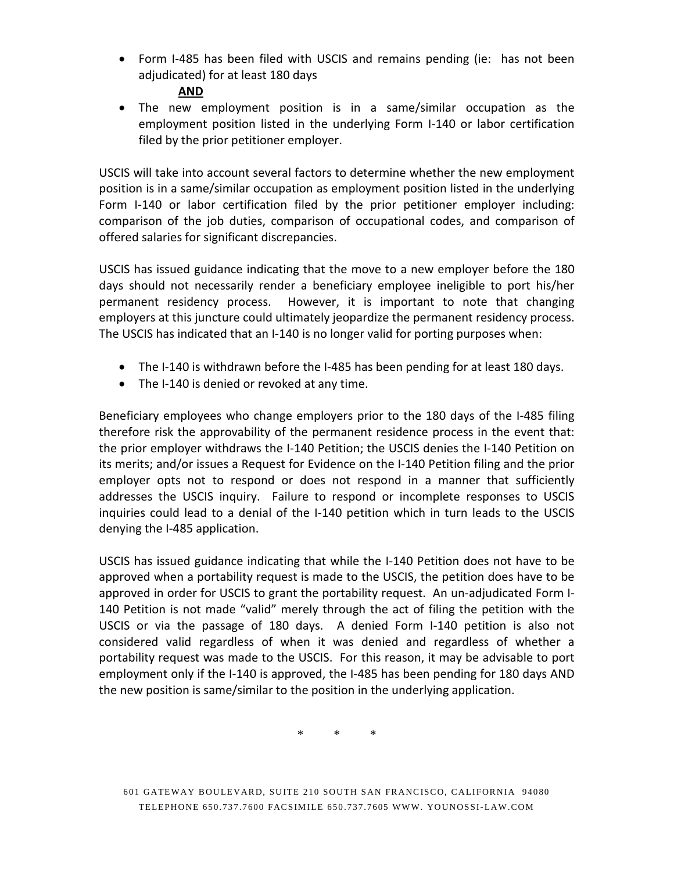• Form I-485 has been filed with USCIS and remains pending (ie: has not been adjudicated) for at least 180 days

## **AND**

• The new employment position is in a same/similar occupation as the employment position listed in the underlying Form I-140 or labor certification filed by the prior petitioner employer.

USCIS will take into account several factors to determine whether the new employment position is in a same/similar occupation as employment position listed in the underlying Form I-140 or labor certification filed by the prior petitioner employer including: comparison of the job duties, comparison of occupational codes, and comparison of offered salaries for significant discrepancies.

USCIS has issued guidance indicating that the move to a new employer before the 180 days should not necessarily render a beneficiary employee ineligible to port his/her permanent residency process. However, it is important to note that changing employers at this juncture could ultimately jeopardize the permanent residency process. The USCIS has indicated that an I-140 is no longer valid for porting purposes when:

- The I-140 is withdrawn before the I-485 has been pending for at least 180 days.
- The I-140 is denied or revoked at any time.

Beneficiary employees who change employers prior to the 180 days of the I-485 filing therefore risk the approvability of the permanent residence process in the event that: the prior employer withdraws the I-140 Petition; the USCIS denies the I-140 Petition on its merits; and/or issues a Request for Evidence on the I-140 Petition filing and the prior employer opts not to respond or does not respond in a manner that sufficiently addresses the USCIS inquiry. Failure to respond or incomplete responses to USCIS inquiries could lead to a denial of the I-140 petition which in turn leads to the USCIS denying the I-485 application.

USCIS has issued guidance indicating that while the I-140 Petition does not have to be approved when a portability request is made to the USCIS, the petition does have to be approved in order for USCIS to grant the portability request. An un-adjudicated Form I-140 Petition is not made "valid" merely through the act of filing the petition with the USCIS or via the passage of 180 days. A denied Form I-140 petition is also not considered valid regardless of when it was denied and regardless of whether a portability request was made to the USCIS. For this reason, it may be advisable to port employment only if the I-140 is approved, the I-485 has been pending for 180 days AND the new position is same/similar to the position in the underlying application.

\* \* \*